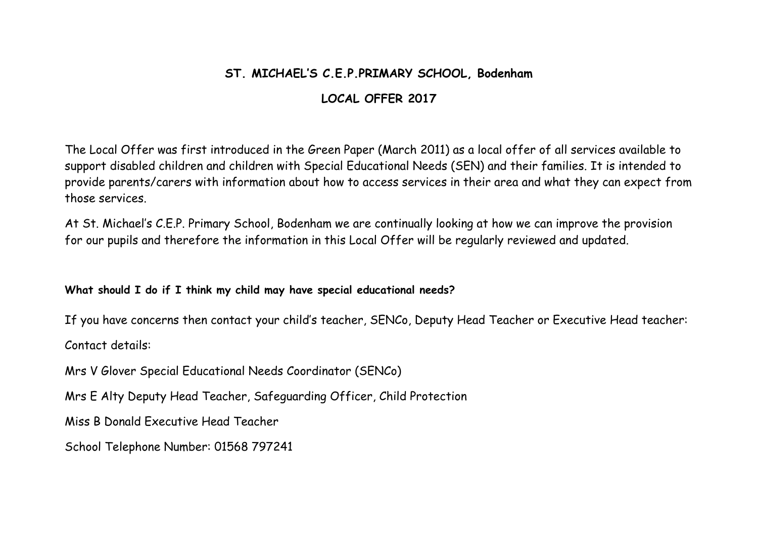## **ST. MICHAEL'S C.E.P.PRIMARY SCHOOL, Bodenham**

# **LOCAL OFFER 2017**

The Local Offer was first introduced in the Green Paper (March 2011) as a local offer of all services available to support disabled children and children with Special Educational Needs (SEN) and their families. It is intended to provide parents/carers with information about how to access services in their area and what they can expect from those services.

At St. Michael's C.E.P. Primary School, Bodenham we are continually looking at how we can improve the provision for our pupils and therefore the information in this Local Offer will be regularly reviewed and updated.

**What should I do if I think my child may have special educational needs?** 

If you have concerns then contact your child's teacher, SENCo, Deputy Head Teacher or Executive Head teacher: Contact details:

Mrs V Glover Special Educational Needs Coordinator (SENCo)

Mrs E Alty Deputy Head Teacher, Safeguarding Officer, Child Protection

Miss B Donald Executive Head Teacher

School Telephone Number: 01568 797241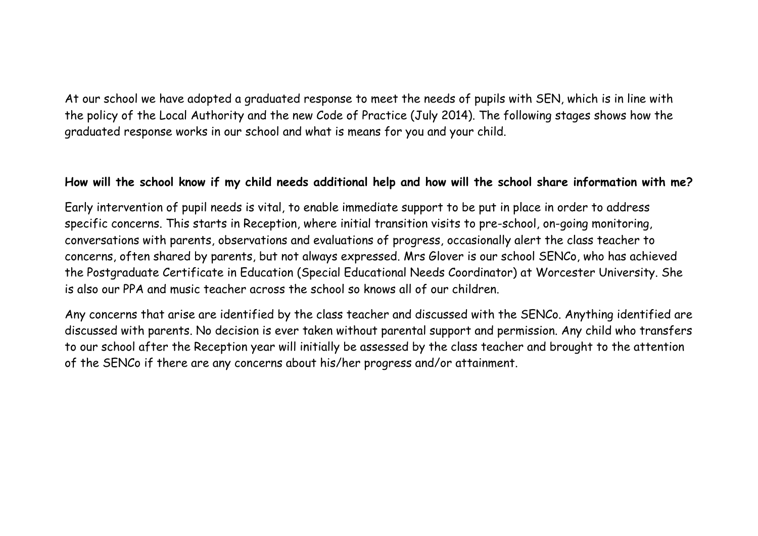At our school we have adopted a graduated response to meet the needs of pupils with SEN, which is in line with the policy of the Local Authority and the new Code of Practice (July 2014). The following stages shows how the graduated response works in our school and what is means for you and your child.

#### **How will the school know if my child needs additional help and how will the school share information with me?**

Early intervention of pupil needs is vital, to enable immediate support to be put in place in order to address specific concerns. This starts in Reception, where initial transition visits to pre-school, on-going monitoring, conversations with parents, observations and evaluations of progress, occasionally alert the class teacher to concerns, often shared by parents, but not always expressed. Mrs Glover is our school SENCo, who has achieved the Postgraduate Certificate in Education (Special Educational Needs Coordinator) at Worcester University. She is also our PPA and music teacher across the school so knows all of our children.

Any concerns that arise are identified by the class teacher and discussed with the SENCo. Anything identified are discussed with parents. No decision is ever taken without parental support and permission. Any child who transfers to our school after the Reception year will initially be assessed by the class teacher and brought to the attention of the SENCo if there are any concerns about his/her progress and/or attainment.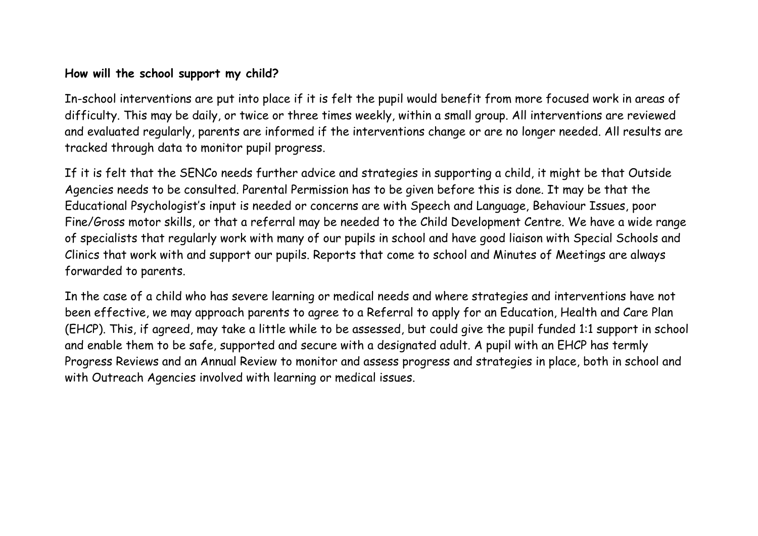### **How will the school support my child?**

In-school interventions are put into place if it is felt the pupil would benefit from more focused work in areas of difficulty. This may be daily, or twice or three times weekly, within a small group. All interventions are reviewed and evaluated regularly, parents are informed if the interventions change or are no longer needed. All results are tracked through data to monitor pupil progress.

If it is felt that the SENCo needs further advice and strategies in supporting a child, it might be that Outside Agencies needs to be consulted. Parental Permission has to be given before this is done. It may be that the Educational Psychologist's input is needed or concerns are with Speech and Language, Behaviour Issues, poor Fine/Gross motor skills, or that a referral may be needed to the Child Development Centre. We have a wide range of specialists that regularly work with many of our pupils in school and have good liaison with Special Schools and Clinics that work with and support our pupils. Reports that come to school and Minutes of Meetings are always forwarded to parents.

In the case of a child who has severe learning or medical needs and where strategies and interventions have not been effective, we may approach parents to agree to a Referral to apply for an Education, Health and Care Plan (EHCP). This, if agreed, may take a little while to be assessed, but could give the pupil funded 1:1 support in school and enable them to be safe, supported and secure with a designated adult. A pupil with an EHCP has termly Progress Reviews and an Annual Review to monitor and assess progress and strategies in place, both in school and with Outreach Agencies involved with learning or medical issues.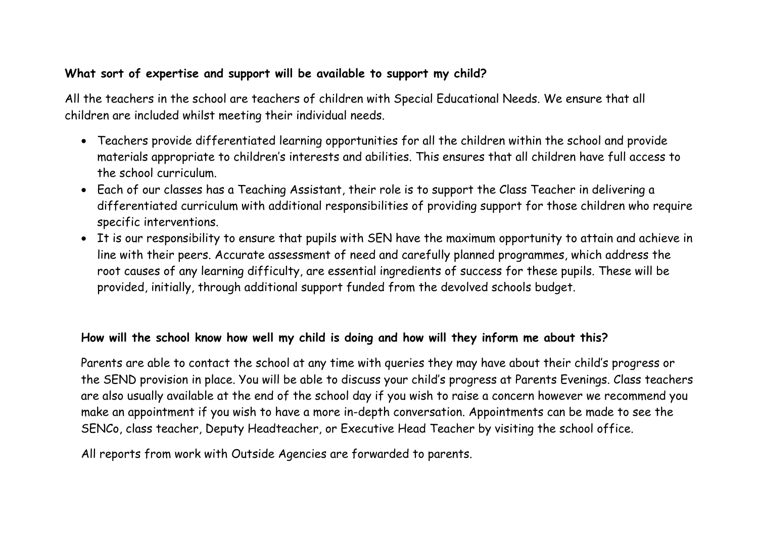## **What sort of expertise and support will be available to support my child?**

All the teachers in the school are teachers of children with Special Educational Needs. We ensure that all children are included whilst meeting their individual needs.

- Teachers provide differentiated learning opportunities for all the children within the school and provide materials appropriate to children's interests and abilities. This ensures that all children have full access to the school curriculum.
- Each of our classes has a Teaching Assistant, their role is to support the Class Teacher in delivering a differentiated curriculum with additional responsibilities of providing support for those children who require specific interventions.
- It is our responsibility to ensure that pupils with SEN have the maximum opportunity to attain and achieve in line with their peers. Accurate assessment of need and carefully planned programmes, which address the root causes of any learning difficulty, are essential ingredients of success for these pupils. These will be provided, initially, through additional support funded from the devolved schools budget.

## **How will the school know how well my child is doing and how will they inform me about this?**

Parents are able to contact the school at any time with queries they may have about their child's progress or the SEND provision in place. You will be able to discuss your child's progress at Parents Evenings. Class teachers are also usually available at the end of the school day if you wish to raise a concern however we recommend you make an appointment if you wish to have a more in-depth conversation. Appointments can be made to see the SENCo, class teacher, Deputy Headteacher, or Executive Head Teacher by visiting the school office.

All reports from work with Outside Agencies are forwarded to parents.